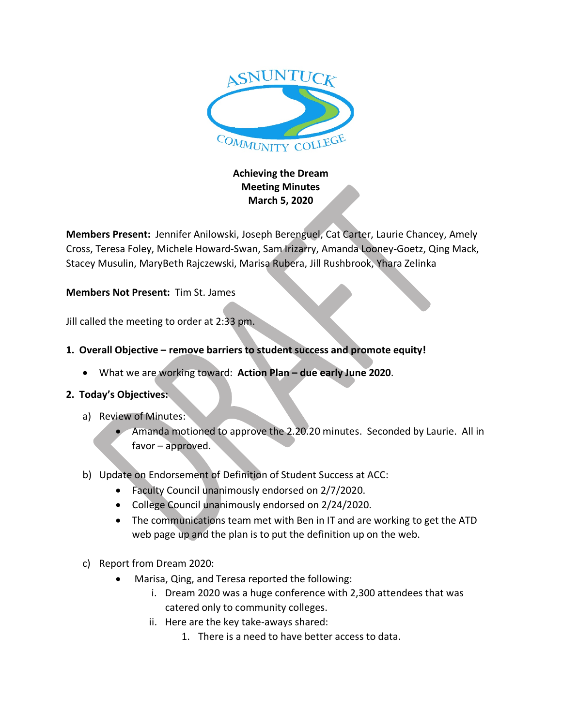

## **Achieving the Dream Meeting Minutes March 5, 2020**

**Members Present:** Jennifer Anilowski, Joseph Berenguel, Cat Carter, Laurie Chancey, Amely Cross, Teresa Foley, Michele Howard-Swan, Sam Irizarry, Amanda Looney-Goetz, Qing Mack, Stacey Musulin, MaryBeth Rajczewski, Marisa Rubera, Jill Rushbrook, Yhara Zelinka

**Members Not Present:** Tim St. James

Jill called the meeting to order at 2:33 pm.

- **1. Overall Objective – remove barriers to student success and promote equity!**
	- What we are working toward: **Action Plan – due early June 2020**.

## **2. Today's Objectives:**

- a) Review of Minutes:
	- Amanda motioned to approve the 2.20.20 minutes. Seconded by Laurie. All in favor – approved.
- b) Update on Endorsement of Definition of Student Success at ACC:
	- Faculty Council unanimously endorsed on 2/7/2020.
	- College Council unanimously endorsed on 2/24/2020.
	- The communications team met with Ben in IT and are working to get the ATD web page up and the plan is to put the definition up on the web.
- c) Report from Dream 2020:
	- Marisa, Qing, and Teresa reported the following:
		- i. Dream 2020 was a huge conference with 2,300 attendees that was catered only to community colleges.
		- ii. Here are the key take-aways shared:
			- 1. There is a need to have better access to data.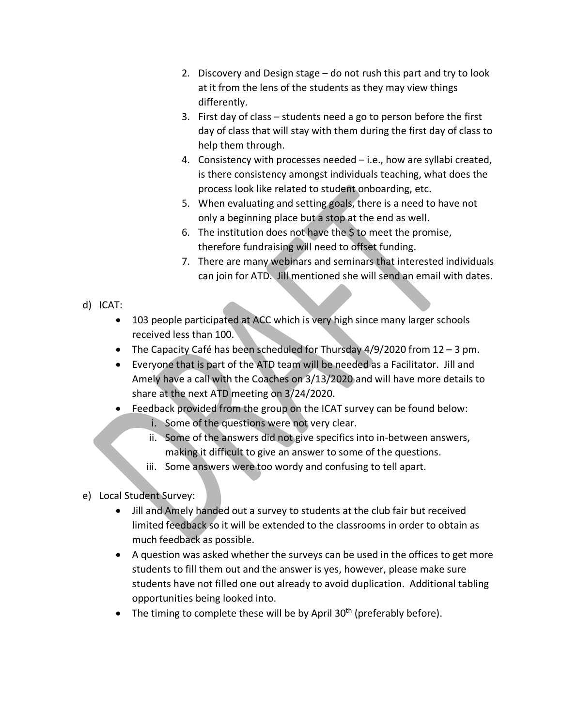- 2. Discovery and Design stage do not rush this part and try to look at it from the lens of the students as they may view things differently.
- 3. First day of class students need a go to person before the first day of class that will stay with them during the first day of class to help them through.
- 4. Consistency with processes needed i.e., how are syllabi created, is there consistency amongst individuals teaching, what does the process look like related to student onboarding, etc.
- 5. When evaluating and setting goals, there is a need to have not only a beginning place but a stop at the end as well.
- 6. The institution does not have the \$ to meet the promise, therefore fundraising will need to offset funding.
- 7. There are many webinars and seminars that interested individuals can join for ATD. Jill mentioned she will send an email with dates.
- d) ICAT:
	- 103 people participated at ACC which is very high since many larger schools received less than 100.
	- The Capacity Café has been scheduled for Thursday 4/9/2020 from 12 3 pm.
	- Everyone that is part of the ATD team will be needed as a Facilitator. Jill and Amely have a call with the Coaches on 3/13/2020 and will have more details to share at the next ATD meeting on 3/24/2020.
	- Feedback provided from the group on the ICAT survey can be found below: i. Some of the questions were not very clear.
		- ii. Some of the answers did not give specifics into in-between answers, making it difficult to give an answer to some of the questions.
		- iii. Some answers were too wordy and confusing to tell apart.
- e) Local Student Survey:
	- Jill and Amely handed out a survey to students at the club fair but received limited feedback so it will be extended to the classrooms in order to obtain as much feedback as possible.
	- A question was asked whether the surveys can be used in the offices to get more students to fill them out and the answer is yes, however, please make sure students have not filled one out already to avoid duplication. Additional tabling opportunities being looked into.
	- The timing to complete these will be by April  $30<sup>th</sup>$  (preferably before).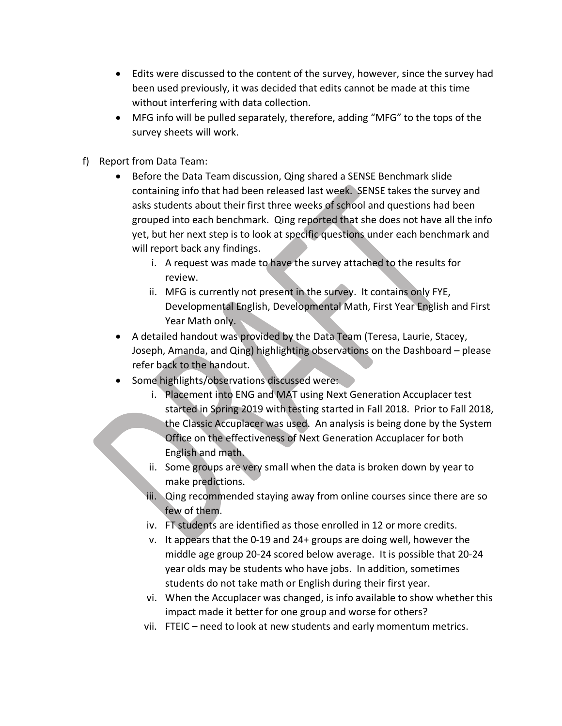- Edits were discussed to the content of the survey, however, since the survey had been used previously, it was decided that edits cannot be made at this time without interfering with data collection.
- MFG info will be pulled separately, therefore, adding "MFG" to the tops of the survey sheets will work.
- f) Report from Data Team:
	- Before the Data Team discussion, Qing shared a SENSE Benchmark slide containing info that had been released last week. SENSE takes the survey and asks students about their first three weeks of school and questions had been grouped into each benchmark. Qing reported that she does not have all the info yet, but her next step is to look at specific questions under each benchmark and will report back any findings.
		- i. A request was made to have the survey attached to the results for review.
		- ii. MFG is currently not present in the survey. It contains only FYE, Developmental English, Developmental Math, First Year English and First Year Math only.
	- A detailed handout was provided by the Data Team (Teresa, Laurie, Stacey, Joseph, Amanda, and Qing) highlighting observations on the Dashboard – please refer back to the handout.
	- Some highlights/observations discussed were:
		- i. Placement into ENG and MAT using Next Generation Accuplacer test started in Spring 2019 with testing started in Fall 2018. Prior to Fall 2018, the Classic Accuplacer was used. An analysis is being done by the System Office on the effectiveness of Next Generation Accuplacer for both English and math.
		- ii. Some groups are very small when the data is broken down by year to make predictions.
		- iii. Qing recommended staying away from online courses since there are so few of them.
		- iv. FT students are identified as those enrolled in 12 or more credits.
		- v. It appears that the 0-19 and 24+ groups are doing well, however the middle age group 20-24 scored below average. It is possible that 20-24 year olds may be students who have jobs. In addition, sometimes students do not take math or English during their first year.
		- vi. When the Accuplacer was changed, is info available to show whether this impact made it better for one group and worse for others?
		- vii. FTEIC need to look at new students and early momentum metrics.